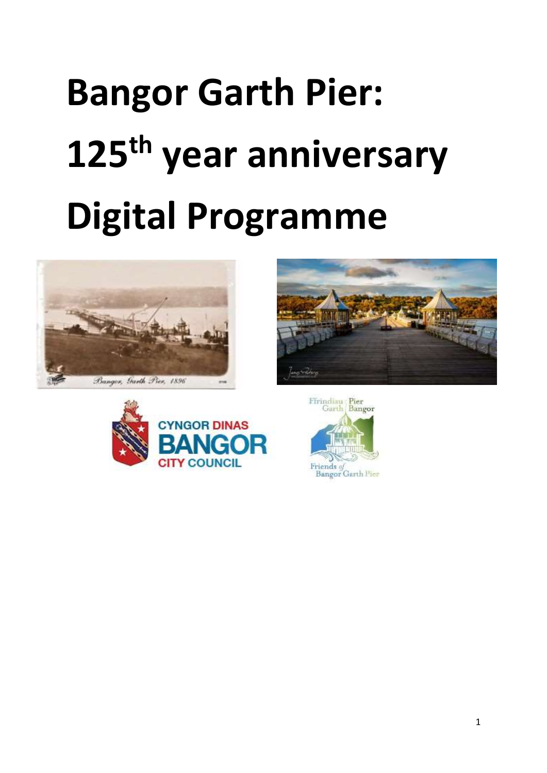# **Bangor Garth Pier: 125th year anniversary Digital Programme**







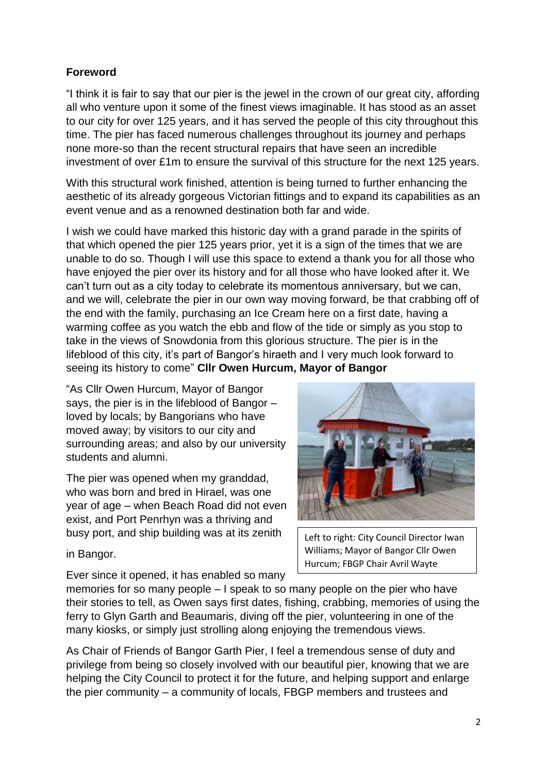# **Foreword**

"I think it is fair to say that our pier is the jewel in the crown of our great city, affording all who venture upon it some of the finest views imaginable. It has stood as an asset to our city for over 125 years, and it has served the people of this city throughout this time. The pier has faced numerous challenges throughout its journey and perhaps none more-so than the recent structural repairs that have seen an incredible investment of over £1m to ensure the survival of this structure for the next 125 years.

With this structural work finished, attention is being turned to further enhancing the aesthetic of its already gorgeous Victorian fittings and to expand its capabilities as an event venue and as a renowned destination both far and wide.

I wish we could have marked this historic day with a grand parade in the spirits of that which opened the pier 125 years prior, yet it is a sign of the times that we are unable to do so. Though I will use this space to extend a thank you for all those who have enjoyed the pier over its history and for all those who have looked after it. We can't turn out as a city today to celebrate its momentous anniversary, but we can, and we will, celebrate the pier in our own way moving forward, be that crabbing off of the end with the family, purchasing an Ice Cream here on a first date, having a warming coffee as you watch the ebb and flow of the tide or simply as you stop to take in the views of Snowdonia from this glorious structure. The pier is in the lifeblood of this city, it's part of Bangor's hiraeth and I very much look forward to seeing its history to come" **Cllr Owen Hurcum, Mayor of Bangor**

"As Cllr Owen Hurcum, Mayor of Bangor says, the pier is in the lifeblood of Bangor – loved by locals; by Bangorians who have moved away; by visitors to our city and surrounding areas; and also by our university students and alumni.

The pier was opened when my granddad, who was born and bred in Hirael, was one year of age – when Beach Road did not even exist, and Port Penrhyn was a thriving and busy port, and ship building was at its zenith

Left to right: City Council Director Iwan Williams; Mayor of Bangor Cllr Owen Hurcum; FBGP Chair Avril Wayte

in Bangor.

Ever since it opened, it has enabled so many

memories for so many people – I speak to so many people on the pier who have their stories to tell, as Owen says first dates, fishing, crabbing, memories of using the ferry to Glyn Garth and Beaumaris, diving off the pier, volunteering in one of the many kiosks, or simply just strolling along enjoying the tremendous views.

As Chair of Friends of Bangor Garth Pier, I feel a tremendous sense of duty and privilege from being so closely involved with our beautiful pier, knowing that we are helping the City Council to protect it for the future, and helping support and enlarge the pier community – a community of locals, FBGP members and trustees and

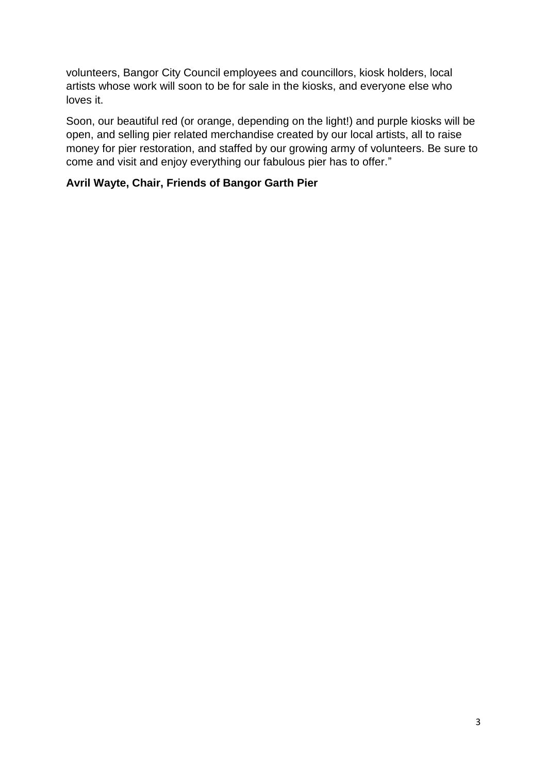volunteers, Bangor City Council employees and councillors, kiosk holders, local artists whose work will soon to be for sale in the kiosks, and everyone else who loves it.

Soon, our beautiful red (or orange, depending on the light!) and purple kiosks will be open, and selling pier related merchandise created by our local artists, all to raise money for pier restoration, and staffed by our growing army of volunteers. Be sure to come and visit and enjoy everything our fabulous pier has to offer."

# **Avril Wayte, Chair, Friends of Bangor Garth Pier**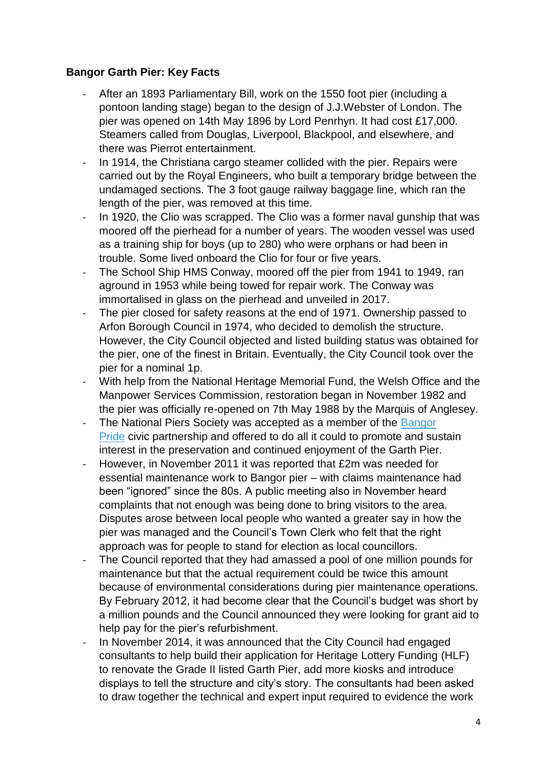# **Bangor Garth Pier: Key Facts**

- After an 1893 Parliamentary Bill, work on the 1550 foot pier (including a pontoon landing stage) began to the design of J.J.Webster of London. The pier was opened on 14th May 1896 by Lord Penrhyn. It had cost £17,000. Steamers called from Douglas, Liverpool, Blackpool, and elsewhere, and there was Pierrot entertainment.
- In 1914, the Christiana cargo steamer collided with the pier. Repairs were carried out by the Royal Engineers, who built a temporary bridge between the undamaged sections. The 3 foot gauge railway baggage line, which ran the length of the pier, was removed at this time.
- In 1920, the Clio was scrapped. The Clio was a former naval gunship that was moored off the pierhead for a number of years. The wooden vessel was used as a training ship for boys (up to 280) who were orphans or had been in trouble. Some lived onboard the Clio for four or five years.
- The School Ship HMS Conway, moored off the pier from 1941 to 1949, ran aground in 1953 while being towed for repair work. The Conway was immortalised in glass on the pierhead and unveiled in 2017.
- The pier closed for safety reasons at the end of 1971. Ownership passed to Arfon Borough Council in 1974, who decided to demolish the structure. However, the City Council objected and listed building status was obtained for the pier, one of the finest in Britain. Eventually, the City Council took over the pier for a nominal 1p.
- With help from the National Heritage Memorial Fund, the Welsh Office and the Manpower Services Commission, restoration began in November 1982 and the pier was officially re-opened on 7th May 1988 by the Marquis of Anglesey.
- The National Piers Society was accepted as a member of the [Bangor](http://www.bangorpride.org.uk/) [Pride](http://www.bangorpride.org.uk/) civic partnership and offered to do all it could to promote and sustain interest in the preservation and continued enjoyment of the Garth Pier.
- However, in November 2011 it was reported that £2m was needed for essential maintenance work to Bangor pier – with claims maintenance had been "ignored" since the 80s. A public meeting also in November heard complaints that not enough was being done to bring visitors to the area. Disputes arose between local people who wanted a greater say in how the pier was managed and the Council's Town Clerk who felt that the right approach was for people to stand for election as local councillors.
- The Council reported that they had amassed a pool of one million pounds for maintenance but that the actual requirement could be twice this amount because of environmental considerations during pier maintenance operations. By February 2012, it had become clear that the Council's budget was short by a million pounds and the Council announced they were looking for grant aid to help pay for the pier's refurbishment.
- In November 2014, it was announced that the City Council had engaged consultants to help build their application for Heritage Lottery Funding (HLF) to renovate the Grade II listed Garth Pier, add more kiosks and introduce displays to tell the structure and city's story. The consultants had been asked to draw together the technical and expert input required to evidence the work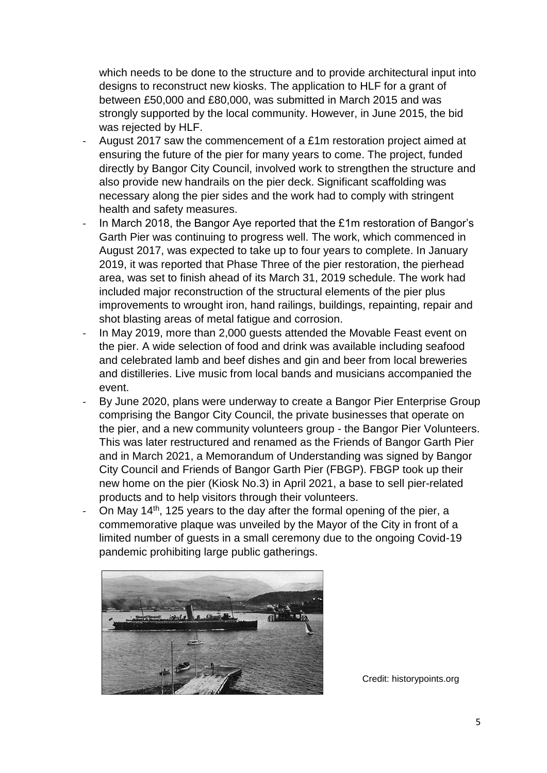which needs to be done to the structure and to provide architectural input into designs to reconstruct new kiosks. The application to HLF for a grant of between £50,000 and £80,000, was submitted in March 2015 and was strongly supported by the local community. However, in June 2015, the bid was rejected by HLF.

- August 2017 saw the commencement of a £1m restoration project aimed at ensuring the future of the pier for many years to come. The project, funded directly by Bangor City Council, involved work to strengthen the structure and also provide new handrails on the pier deck. Significant scaffolding was necessary along the pier sides and the work had to comply with stringent health and safety measures.
- In March 2018, the Bangor Aye reported that the £1m restoration of Bangor's Garth Pier was continuing to progress well. The work, which commenced in August 2017, was expected to take up to four years to complete. In January 2019, it was reported that Phase Three of the pier restoration, the pierhead area, was set to finish ahead of its March 31, 2019 schedule. The work had included major reconstruction of the structural elements of the pier plus improvements to wrought iron, hand railings, buildings, repainting, repair and shot blasting areas of metal fatigue and corrosion.
- In May 2019, more than 2,000 guests attended the Movable Feast event on the pier. A wide selection of food and drink was available including seafood and celebrated lamb and beef dishes and gin and beer from local breweries and distilleries. Live music from local bands and musicians accompanied the event.
- By June 2020, plans were underway to create a Bangor Pier Enterprise Group comprising the Bangor City Council, the private businesses that operate on the pier, and a new community volunteers group - the Bangor Pier Volunteers. This was later restructured and renamed as the Friends of Bangor Garth Pier and in March 2021, a Memorandum of Understanding was signed by Bangor City Council and Friends of Bangor Garth Pier (FBGP). FBGP took up their new home on the pier (Kiosk No.3) in April 2021, a base to sell pier-related products and to help visitors through their volunteers.
- On May 14<sup>th</sup>, 125 years to the day after the formal opening of the pier, a commemorative plaque was unveiled by the Mayor of the City in front of a limited number of guests in a small ceremony due to the ongoing Covid-19 pandemic prohibiting large public gatherings.



Credit: historypoints.org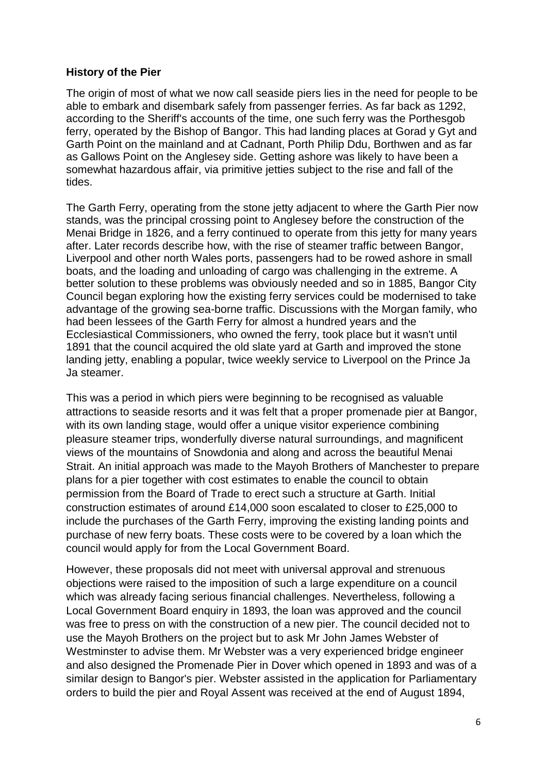## **History of the Pier**

The origin of most of what we now call seaside piers lies in the need for people to be able to embark and disembark safely from passenger ferries. As far back as 1292, according to the Sheriff's accounts of the time, one such ferry was the Porthesgob ferry, operated by the Bishop of Bangor. This had landing places at Gorad y Gyt and Garth Point on the mainland and at Cadnant, Porth Philip Ddu, Borthwen and as far as Gallows Point on the Anglesey side. Getting ashore was likely to have been a somewhat hazardous affair, via primitive jetties subject to the rise and fall of the tides.

The Garth Ferry, operating from the stone jetty adjacent to where the Garth Pier now stands, was the principal crossing point to Anglesey before the construction of the Menai Bridge in 1826, and a ferry continued to operate from this jetty for many years after. Later records describe how, with the rise of steamer traffic between Bangor, Liverpool and other north Wales ports, passengers had to be rowed ashore in small boats, and the loading and unloading of cargo was challenging in the extreme. A better solution to these problems was obviously needed and so in 1885, Bangor City Council began exploring how the existing ferry services could be modernised to take advantage of the growing sea-borne traffic. Discussions with the Morgan family, who had been lessees of the Garth Ferry for almost a hundred years and the Ecclesiastical Commissioners, who owned the ferry, took place but it wasn't until 1891 that the council acquired the old slate yard at Garth and improved the stone landing jetty, enabling a popular, twice weekly service to Liverpool on the Prince Ja Ja steamer.

This was a period in which piers were beginning to be recognised as valuable attractions to seaside resorts and it was felt that a proper promenade pier at Bangor, with its own landing stage, would offer a unique visitor experience combining pleasure steamer trips, wonderfully diverse natural surroundings, and magnificent views of the mountains of Snowdonia and along and across the beautiful Menai Strait. An initial approach was made to the Mayoh Brothers of Manchester to prepare plans for a pier together with cost estimates to enable the council to obtain permission from the Board of Trade to erect such a structure at Garth. Initial construction estimates of around £14,000 soon escalated to closer to £25,000 to include the purchases of the Garth Ferry, improving the existing landing points and purchase of new ferry boats. These costs were to be covered by a loan which the council would apply for from the Local Government Board.

However, these proposals did not meet with universal approval and strenuous objections were raised to the imposition of such a large expenditure on a council which was already facing serious financial challenges. Nevertheless, following a Local Government Board enquiry in 1893, the loan was approved and the council was free to press on with the construction of a new pier. The council decided not to use the Mayoh Brothers on the project but to ask Mr John James Webster of Westminster to advise them. Mr Webster was a very experienced bridge engineer and also designed the Promenade Pier in Dover which opened in 1893 and was of a similar design to Bangor's pier. Webster assisted in the application for Parliamentary orders to build the pier and Royal Assent was received at the end of August 1894,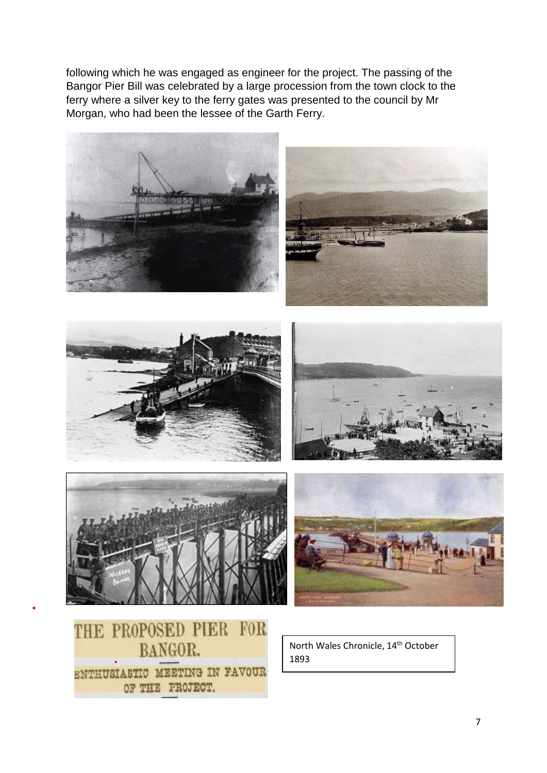following which he was engaged as engineer for the project. The passing of the Bangor Pier Bill was celebrated by a large procession from the town clock to the ferry where a silver key to the ferry gates was presented to the council by Mr Morgan, who had been the lessee of the Garth Ferry.

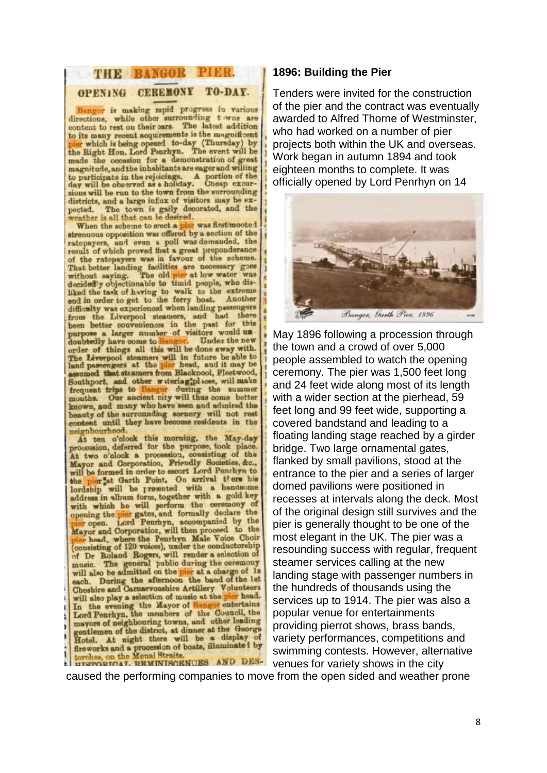#### THE BANGOR PIER. OPENING CEREMONY TO-DAY.

Bangor is making rapid progress in various directions, while other surrounding twens are content to rest on their cars. The latest addition content to rest on their pars. The latest addition<br>to its many recent acquirements is the magnificent<br>piar which is being opened to-day (Thursday) by<br>the Right Hon, Lord Penrhyn. The event will be made the occasion for a demonstration of great magnitude, and the inhabitants are eager and willing to participate in the rejoicings. A portion of the day will be observed as a holiday. Cheap excursions will be run to the town from the surrounding districts, and a large influx of visitors may be ex-The town is gaily decorated, and the pected. rather is all that can be desired.

When the scheme to erect a play was first mooted reenuous opposition was onered by a seconded, the ratepayers, and even a poll was demanded, the result of which proved that a great preponderance.<br>Of the ratepayers was in favour of the scheme.<br>That better landing faciliti decided'y objectionable to timid people, who dis-<br>liked the task of having to walk to the extreme end in order to get to the ferry boat. Another difficulty was experienced when landing passengers from the Liverpool steamers, and had there been better conveniences in the past for this purpose a larger number of visitors would undoubtedly have come to Bangor. Under the new The Liverpool steamers will in future be able to land passengers at the piar head, and it may be assumed that steamers from Blackpool, Fleetwood, Southport, and other witering;plices, will make frequent trips to Bangor during the summer months. Our ancient city will thus come better known, and many who have seen and admired the beauty of the surrounding sornery will not rest content until they have become residents in the neighbourhood.

At ten o'clock this morning, the May-day procession, deferred for the purpose, took place. At two o'clock a procession, consisting of the Mayor and Corporation, Friendly Societies, &c., will be formed in order to escort Lord Penrhyn to will be formed in order to second the bis the pier at Garth Point. On arrival there his lordship will be presented with a handsome address in album form, together with a gold key address in album form, together with a gold key<br>with which he will perform the ceremony of<br>opening the pier gates, and formally declare the<br>pier open. Lord Penrhyn, accompanied by the<br>Mayor and Corporation, will then proce (consisting of 120 voices), under the conductorship<br>of Dr Boland Rogers, will render a selection of music. The general public during the ceremony will also be admitted on the pier at a charge of 1s each. During the afternoon the band of the 1st Cheshire and Carnarvoushire Artillery Volunteers will also play a selection of music at the pier head. will also play a selection of music at the entertains<br>In the evening the Mayor of Bangor entertains<br>Lord Penrhyn, the members of the Council, the mayors of neighbouring towns, and other leading mayors of neighbouring towns, and the George<br>gentlemen of the district, at dinner at the George<br>Hotel. At night there will be a display of Hotel. At night there will be a useful by treworks an the Menai Straits.<br>torones, on the Menai Straits.

#### **1896: Building the Pier**

Tenders were invited for the construction of the pier and the contract was eventually awarded to Alfred Thorne of Westminster, who had worked on a number of pier projects both within the UK and overseas. Work began in autumn 1894 and took eighteen months to complete. It was officially opened by Lord Penrhyn on 14



May 1896 following a procession through the town and a crowd of over 5,000 people assembled to watch the opening ceremony. The pier was 1,500 feet long and 24 feet wide along most of its length with a wider section at the pierhead, 59 feet long and 99 feet wide, supporting a covered bandstand and leading to a floating landing stage reached by a girder bridge. Two large ornamental gates, flanked by small pavilions, stood at the entrance to the pier and a series of larger domed pavilions were positioned in recesses at intervals along the deck. Most of the original design still survives and the pier is generally thought to be one of the most elegant in the UK. The pier was a resounding success with regular, frequent steamer services calling at the new landing stage with passenger numbers in the hundreds of thousands using the services up to 1914. The pier was also a popular venue for entertainments providing pierrot shows, brass bands, variety performances, competitions and swimming contests. However, alternative venues for variety shows in the city

caused the performing companies to move from the open sided and weather prone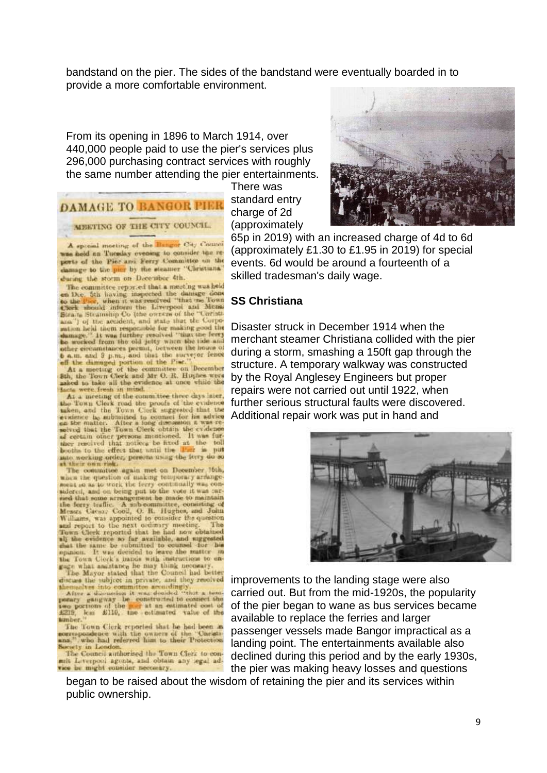bandstand on the pier. The sides of the bandstand were eventually boarded in to provide a more comfortable environment.

From its opening in 1896 to March 1914, over 440,000 people paid to use the pier's services plus 296,000 purchasing contract services with roughly the same number attending the pier entertainments.

# **DAMAGE TO BANGOR PIER**

#### MEETING OF THE CITY COUNCIL.

A special meeting of the Bangar City Council was held on Tuesday evening to consider the reports of the Pier and Ferry Committee on the damage to the pier by the steamer "Christiana" during the storm on December 4th.

The committee reported that a meeting was held on Dec. 5th having inspected the damage done to the Fire, when it was resolved "that me Town Check should inform the Liverpool and Mena Straits Stramship Co (the owners of the "Curists ana") of the accident, and state that the Corporation held them responsible for making good the ration held them respectible for making good the<br>formage." It was further resolved "that the ferry<br>be worked from the old jetty when the ide and<br>other circumstances permit, between the house of<br> $\mathbf{b}$  a.m. and  $\mathbf{3}$ 

asked to take all the evidence at once while the

At a meeting of the committee three days later, the Town Clerk road the proofs of the evidence taken, and the Town Clerk suggested that the evidence the entire the connect for his advice the car at the connect for his advice submitted to an the matter. After a long disc of certain other persons mentioned. It was furthey resolved that notices be fixed at the toll mio working order, persona using the ferry do so

The committee again met on December 16th, when the question of making temporary arrange-<br>ment so as to work the ferry continually was consulered, and on being put to the vote it was carsidered, and on being put to the vote it was carried that some arrangement to the mode to maintain<br>the forty traffic. A subcommittee, containing of<br>Messas Gaesa; Cool, O. B. Hughes, and John<br>Williams, was appointed to cons

the Town Clock a maps and think necessary.<br>The Mayor stated that the Council had better<br>discuss the adjoct in private, and they resolved<br>themselves into committee accordingly.

After a discussion it was doubled "that a temporary gaugway be constructed to connect the person of the per at an estimated cost of £219, km £110, the estimated value of the tunber.

The Town Cierk reported that he had been as correspondence with the owners of the 'Caristicana,'' who had referred him to their Protection Society in London.

The Council authorised the Town Clerk to conmit Liverpool agents, and obtain any legal advice be might consider necessary.

There was standard entry charge of 2d (approximately



65p in 2019) with an increased charge of 4d to 6d (approximately £1.30 to £1.95 in 2019) for special events. 6d would be around a fourteenth of a skilled tradesman's daily wage.

## **SS Christiana**

Disaster struck in December 1914 when the merchant steamer Christiana collided with the pier during a storm, smashing a 150ft gap through the structure. A temporary walkway was constructed by the Royal Anglesey Engineers but proper repairs were not carried out until 1922, when further serious structural faults were discovered. Additional repair work was put in hand and



improvements to the landing stage were also carried out. But from the mid-1920s, the popularity of the pier began to wane as bus services became available to replace the ferries and larger passenger vessels made Bangor impractical as a landing point. The entertainments available also declined during this period and by the early 1930s, the pier was making heavy losses and questions

began to be raised about the wisdom of retaining the pier and its services within public ownership.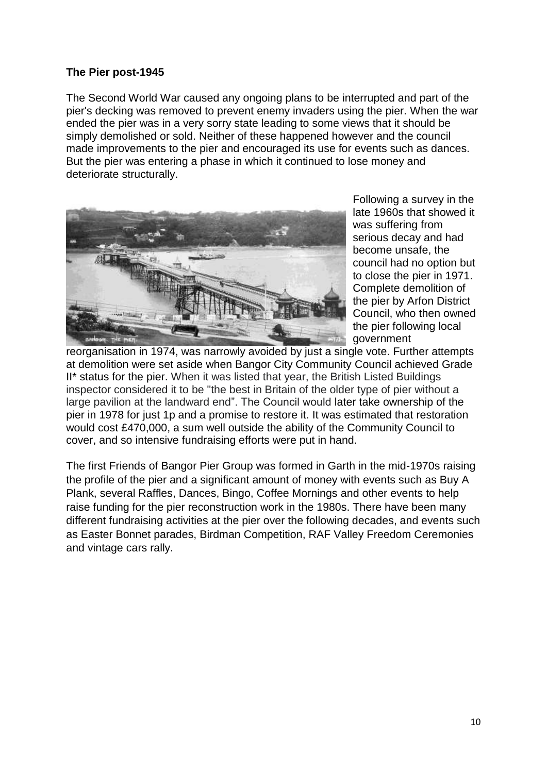# **The Pier post-1945**

The Second World War caused any ongoing plans to be interrupted and part of the pier's decking was removed to prevent enemy invaders using the pier. When the war ended the pier was in a very sorry state leading to some views that it should be simply demolished or sold. Neither of these happened however and the council made improvements to the pier and encouraged its use for events such as dances. But the pier was entering a phase in which it continued to lose money and deteriorate structurally.



Following a survey in the late 1960s that showed it was suffering from serious decay and had become unsafe, the council had no option but to close the pier in 1971. Complete demolition of the pier by Arfon District Council, who then owned the pier following local government

reorganisation in 1974, was narrowly avoided by just a single vote. Further attempts at demolition were set aside when Bangor City Community Council achieved Grade II\* status for the pier. When it was listed that year, the British Listed Buildings inspector considered it to be "the best in Britain of the older type of pier without a large pavilion at the landward end". The Council would later take ownership of the pier in 1978 for just 1p and a promise to restore it. It was estimated that restoration would cost £470,000, a sum well outside the ability of the Community Council to cover, and so intensive fundraising efforts were put in hand.

The first Friends of Bangor Pier Group was formed in Garth in the mid-1970s raising the profile of the pier and a significant amount of money with events such as Buy A Plank, several Raffles, Dances, Bingo, Coffee Mornings and other events to help raise funding for the pier reconstruction work in the 1980s. There have been many different fundraising activities at the pier over the following decades, and events such as Easter Bonnet parades, Birdman Competition, RAF Valley Freedom Ceremonies and vintage cars rally.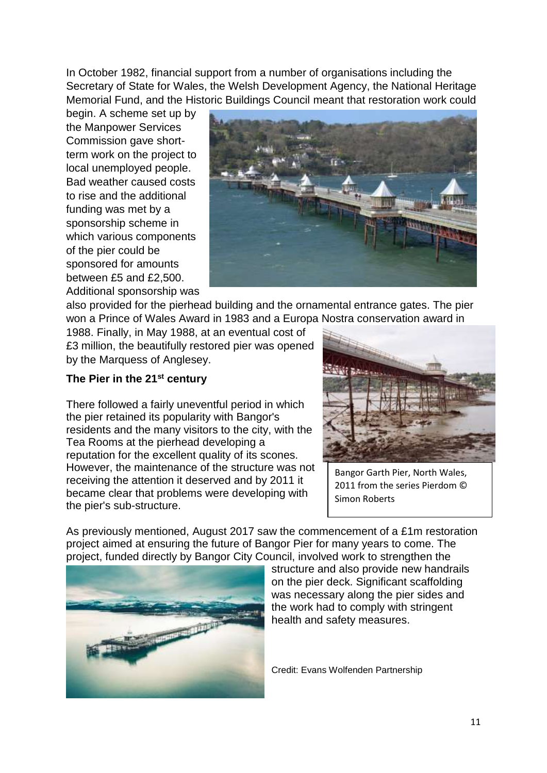In October 1982, financial support from a number of organisations including the Secretary of State for Wales, the Welsh Development Agency, the National Heritage Memorial Fund, and the Historic Buildings Council meant that restoration work could

begin. A scheme set up by the Manpower Services Commission gave shortterm work on the project to local unemployed people. Bad weather caused costs to rise and the additional funding was met by a sponsorship scheme in which various components of the pier could be sponsored for amounts between £5 and £2,500. Additional sponsorship was



also provided for the pierhead building and the ornamental entrance gates. The pier won a Prince of Wales Award in 1983 and a Europa Nostra conservation award in

1988. Finally, in May 1988, at an eventual cost of £3 million, the beautifully restored pier was opened by the Marquess of Anglesey.

# **The Pier in the 21st century**

There followed a fairly uneventful period in which the pier retained its popularity with Bangor's residents and the many visitors to the city, with the Tea Rooms at the pierhead developing a reputation for the excellent quality of its scones. However, the maintenance of the structure was not receiving the attention it deserved and by 2011 it became clear that problems were developing with the pier's sub-structure.



Bangor Garth Pier, North Wales, 2011 from the series Pierdom © Simon Roberts

As previously mentioned, August 2017 saw the commencement of a £1m restoration project aimed at ensuring the future of Bangor Pier for many years to come. The project, funded directly by Bangor City Council, involved work to strengthen the



structure and also provide new handrails on the pier deck. Significant scaffolding was necessary along the pier sides and the work had to comply with stringent health and safety measures.

Credit: Evans Wolfenden Partnership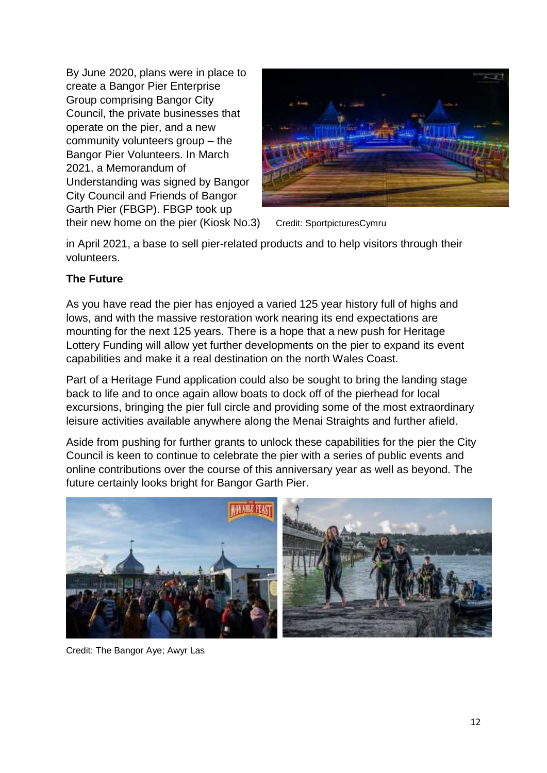By June 2020, plans were in place to create a Bangor Pier Enterprise Group comprising Bangor City Council, the private businesses that operate on the pier, and a new community volunteers group – the Bangor Pier Volunteers. In March 2021, a Memorandum of Understanding was signed by Bangor City Council and Friends of Bangor Garth Pier (FBGP). FBGP took up their new home on the pier (Kiosk No.3) Credit: SportpicturesCymru



in April 2021, a base to sell pier-related products and to help visitors through their volunteers.

# **The Future**

As you have read the pier has enjoyed a varied 125 year history full of highs and lows, and with the massive restoration work nearing its end expectations are mounting for the next 125 years. There is a hope that a new push for Heritage Lottery Funding will allow yet further developments on the pier to expand its event capabilities and make it a real destination on the north Wales Coast.

Part of a Heritage Fund application could also be sought to bring the landing stage back to life and to once again allow boats to dock off of the pierhead for local excursions, bringing the pier full circle and providing some of the most extraordinary leisure activities available anywhere along the Menai Straights and further afield.

Aside from pushing for further grants to unlock these capabilities for the pier the City Council is keen to continue to celebrate the pier with a series of public events and online contributions over the course of this anniversary year as well as beyond. The future certainly looks bright for Bangor Garth Pier.



Credit: The Bangor Aye; Awyr Las